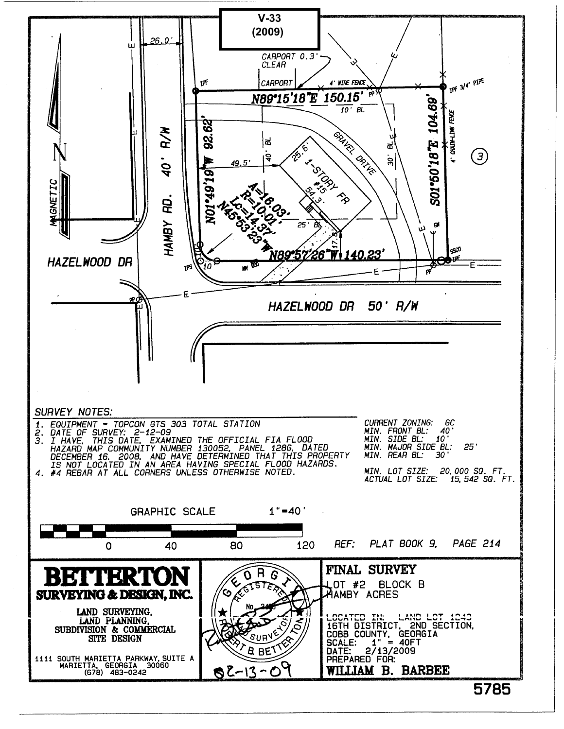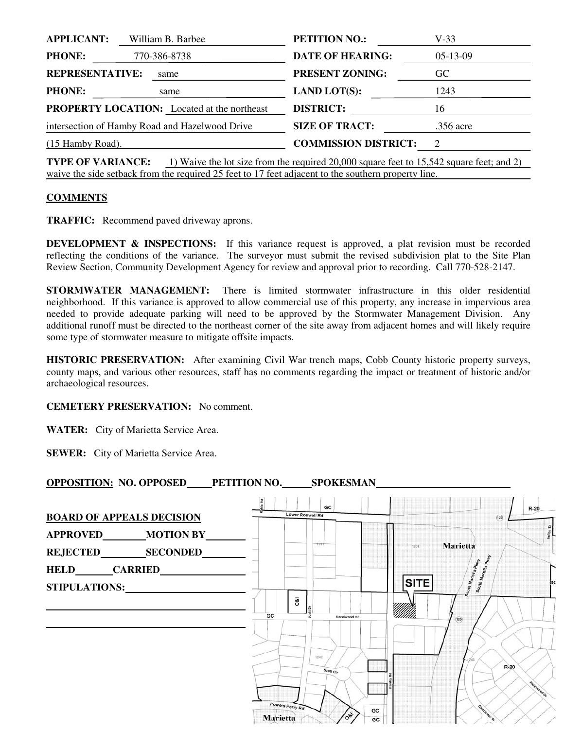| <b>APPLICANT:</b>                                  | William B. Barbee | <b>PETITION NO.:</b>        | $V-33$                      |
|----------------------------------------------------|-------------------|-----------------------------|-----------------------------|
| <b>PHONE:</b>                                      | 770-386-8738      | <b>DATE OF HEARING:</b>     | $05-13-09$                  |
| <b>REPRESENTATIVE:</b>                             | same              | <b>PRESENT ZONING:</b>      | GC                          |
| <b>PHONE:</b>                                      | same              | <b>LAND LOT(S):</b>         | 1243                        |
| <b>PROPERTY LOCATION:</b> Located at the northeast |                   | <b>DISTRICT:</b>            | 16                          |
| intersection of Hamby Road and Hazelwood Drive     |                   | <b>SIZE OF TRACT:</b>       | .356 acre                   |
| (15 Hamby Road).                                   |                   | <b>COMMISSION DISTRICT:</b> | $\mathcal{D}_{\mathcal{L}}$ |
|                                                    |                   |                             |                             |

**TYPE OF VARIANCE:** 1) Waive the lot size from the required 20,000 square feet to 15,542 square feet; and 2) waive the side setback from the required 25 feet to 17 feet adjacent to the southern property line.

### **COMMENTS**

**TRAFFIC:** Recommend paved driveway aprons.

**DEVELOPMENT & INSPECTIONS:** If this variance request is approved, a plat revision must be recorded reflecting the conditions of the variance. The surveyor must submit the revised subdivision plat to the Site Plan Review Section, Community Development Agency for review and approval prior to recording. Call 770-528-2147.

**STORMWATER MANAGEMENT:** There is limited stormwater infrastructure in this older residential neighborhood. If this variance is approved to allow commercial use of this property, any increase in impervious area needed to provide adequate parking will need to be approved by the Stormwater Management Division. Any additional runoff must be directed to the northeast corner of the site away from adjacent homes and will likely require some type of stormwater measure to mitigate offsite impacts.

**HISTORIC PRESERVATION:** After examining Civil War trench maps, Cobb County historic property surveys, county maps, and various other resources, staff has no comments regarding the impact or treatment of historic and/or archaeological resources.

#### **CEMETERY PRESERVATION:** No comment.

**WATER:** City of Marietta Service Area.

**SEWER:** City of Marietta Service Area.

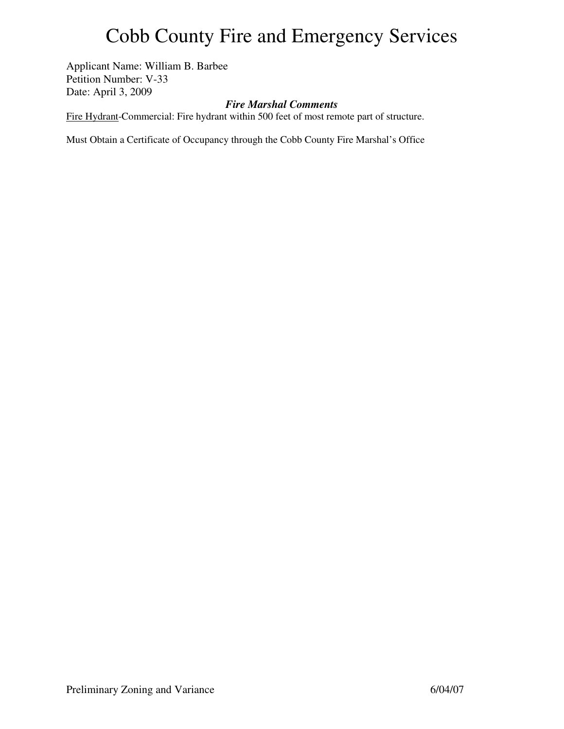## Cobb County Fire and Emergency Services

Applicant Name: William B. Barbee Petition Number: V-33 Date: April 3, 2009

### *Fire Marshal Comments*

Fire Hydrant-Commercial: Fire hydrant within 500 feet of most remote part of structure.

Must Obtain a Certificate of Occupancy through the Cobb County Fire Marshal's Office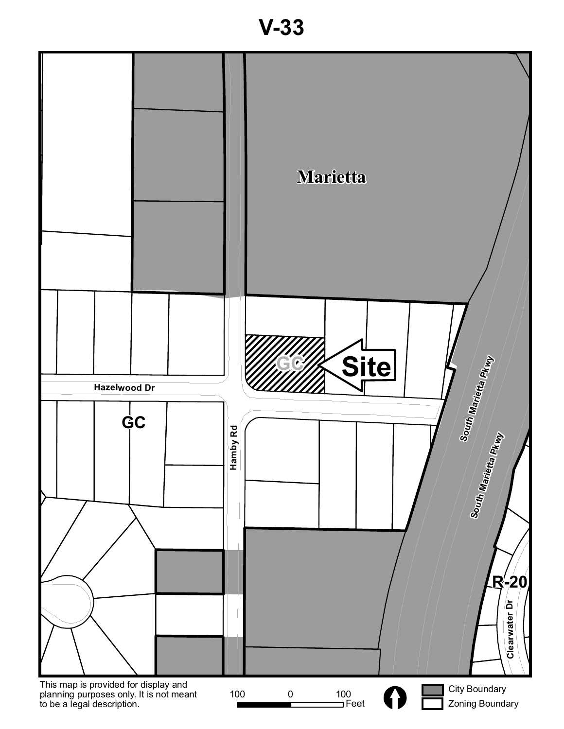**V-33**